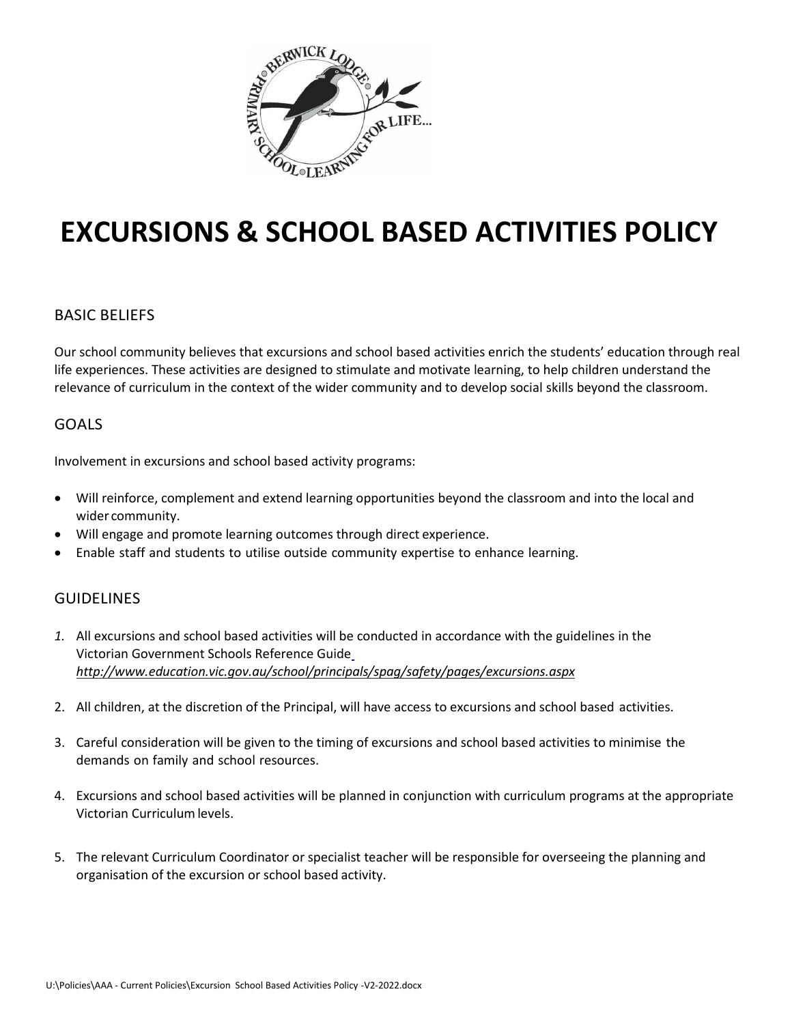

# **EXCURSIONS & SCHOOL BASED ACTIVITIES POLICY**

## BASIC BELIEFS

Our school community believes that excursions and school based activities enrich the students' education through real life experiences. These activities are designed to stimulate and motivate learning, to help children understand the relevance of curriculum in the context of the wider community and to develop social skills beyond the classroom.

## GOALS

Involvement in excursions and school based activity programs:

- Will reinforce, complement and extend learning opportunities beyond the classroom and into the local and wider community.
- Will engage and promote learning outcomes through direct experience.
- Enable staff and students to utilise outside community expertise to enhance learning.

# GUIDELINES

- *1.* All excursions and school based activities will be conducted in accordance with the guidelines in the Victorian Government Schools Reference Guid[e](http://www.education.vic.gov.au/school/principals/spag/safety/pages/excursions.aspx) *<http://www.education.vic.gov.au/school/principals/spag/safety/pages/excursions.aspx>*
- 2. All children, at the discretion of the Principal, will have access to excursions and school based activities.
- 3. Careful consideration will be given to the timing of excursions and school based activities to minimise the demands on family and school resources.
- 4. Excursions and school based activities will be planned in conjunction with curriculum programs at the appropriate Victorian Curriculumlevels.
- 5. The relevant Curriculum Coordinator or specialist teacher will be responsible for overseeing the planning and organisation of the excursion or school based activity.